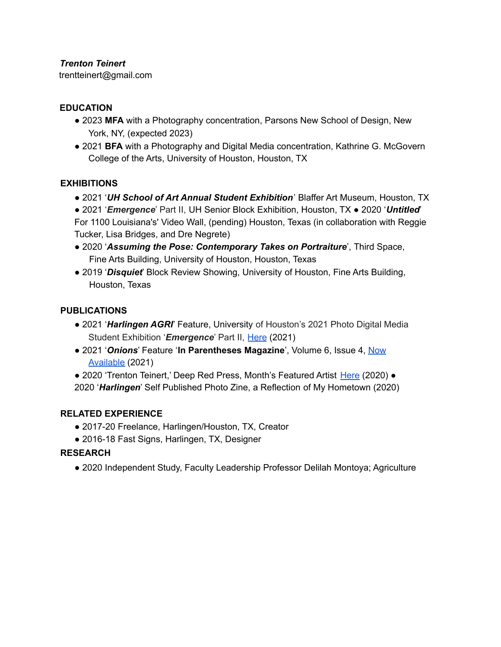## *Trenton Teinert*

trentteinert@gmail.com

# **EDUCATION**

- 2023 **MFA** with a Photography concentration, Parsons New School of Design, New York, NY, (expected 2023)
- 2021 **BFA** with a Photography and Digital Media concentration, Kathrine G. McGovern College of the Arts, University of Houston, Houston, TX

## **EXHIBITIONS**

● 2021 '*UH School of Art Annual Student Exhibition*' Blaffer Art Museum, Houston, TX

● 2021 '*Emergence*' Part II, UH Senior Block Exhibition, Houston, TX ● 2020 '*Untitled*' For 1100 Louisiana's' Video Wall, (pending) Houston, Texas (in collaboration with Reggie Tucker, Lisa Bridges, and Dre Negrete)

- 2020 '*Assuming the Pose: Contemporary Takes on Portraiture*', Third Space, Fine Arts Building, University of Houston, Houston, Texas
- 2019 '*Disquiet*' Block Review Showing, University of Houston, Fine Arts Building, Houston, Texas

## **PUBLICATIONS**

- 2021 '*Harlingen AGRI*' Feature, University of Houston's 2021 Photo Digital Media Student Exhibition '*Emergence*' Part II, Here (2021)
- 2021 '*Onions*' Feature '**In Parentheses Magazine**', Volume 6, Issue 4, Now Available (2021)
- 2020 'Trenton Teinert,' Deep Red Press, Month's Featured Artist Here (2020) ●

2020 '*Harlingen*' Self Published Photo Zine, a Reflection of My Hometown (2020)

## **RELATED EXPERIENCE**

- 2017-20 Freelance, Harlingen/Houston, TX, Creator
- 2016-18 Fast Signs, Harlingen, TX, Designer

## **RESEARCH**

● 2020 Independent Study, Faculty Leadership Professor Delilah Montoya; Agriculture